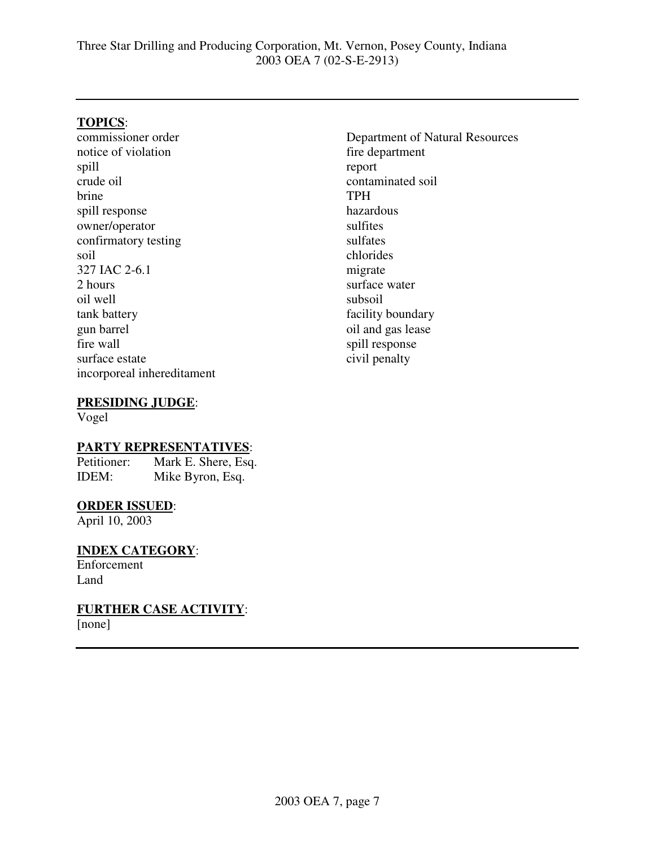#### **TOPICS**:

commissioner order notice of violation spill crude oil brine spill response owner/operator confirmatory testing soil 327 IAC 2-6.1 2 hours oil well tank battery gun barrel fire wall surface estate incorporeal inhereditament Department of Natural Resources fire department report contaminated soil TPH hazardous sulfites sulfates chlorides migrate surface water subsoil facility boundary oil and gas lease spill response civil penalty

#### **PRESIDING JUDGE**:

Vogel

# **PARTY REPRESENTATIVES:**<br>Petitioner: Mark E. Shere, Esq

Mark E. Shere, Esq. IDEM: Mike Byron, Esq.

#### **ORDER ISSUED**:

April 10, 2003

# **INDEX CATEGORY**:

Enforcement Land

**FURTHER CASE ACTIVITY**: [none]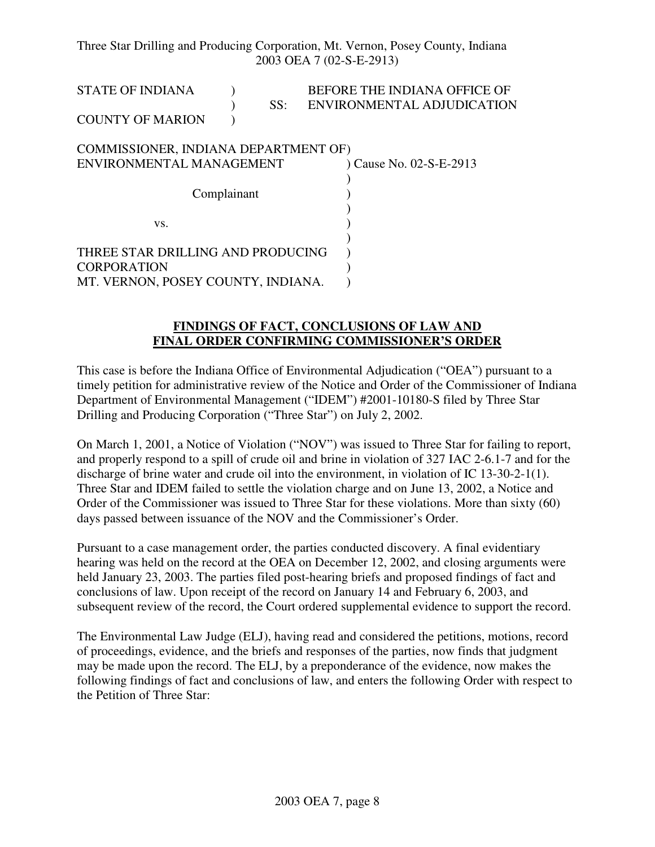Three Star Drilling and Producing Corporation, Mt. Vernon, Posey County, Indiana 2003 OEA 7 (02-S-E-2913)

STATE OF INDIANA ) BEFORE THE INDIANA OFFICE OF ) SS: ENVIRONMENTAL ADJUDICATION COUNTY OF MARION )

#### COMMISSIONER, INDIANA DEPARTMENT OF) ENVIRONMENTAL MANAGEMENT ) Cause No. 02-S-E-2913  $\lambda$ Complainant ) )  $\mathbf{v}\mathbf{s}$ .  $\qquad \qquad$  ) ) THREE STAR DRILLING AND PRODUCING ) CORPORATION (2002) MT. VERNON, POSEY COUNTY, INDIANA.

#### **FINDINGS OF FACT, CONCLUSIONS OF LAW AND FINAL ORDER CONFIRMING COMMISSIONER'S ORDER**

This case is before the Indiana Office of Environmental Adjudication ("OEA") pursuant to a timely petition for administrative review of the Notice and Order of the Commissioner of Indiana Department of Environmental Management ("IDEM") #2001-10180-S filed by Three Star Drilling and Producing Corporation ("Three Star") on July 2, 2002.

On March 1, 2001, a Notice of Violation ("NOV") was issued to Three Star for failing to report, and properly respond to a spill of crude oil and brine in violation of 327 IAC 2-6.1-7 and for the discharge of brine water and crude oil into the environment, in violation of IC 13-30-2-1(1). Three Star and IDEM failed to settle the violation charge and on June 13, 2002, a Notice and Order of the Commissioner was issued to Three Star for these violations. More than sixty (60) days passed between issuance of the NOV and the Commissioner's Order.

Pursuant to a case management order, the parties conducted discovery. A final evidentiary hearing was held on the record at the OEA on December 12, 2002, and closing arguments were held January 23, 2003. The parties filed post-hearing briefs and proposed findings of fact and conclusions of law. Upon receipt of the record on January 14 and February 6, 2003, and subsequent review of the record, the Court ordered supplemental evidence to support the record.

The Environmental Law Judge (ELJ), having read and considered the petitions, motions, record of proceedings, evidence, and the briefs and responses of the parties, now finds that judgment may be made upon the record. The ELJ, by a preponderance of the evidence, now makes the following findings of fact and conclusions of law, and enters the following Order with respect to the Petition of Three Star: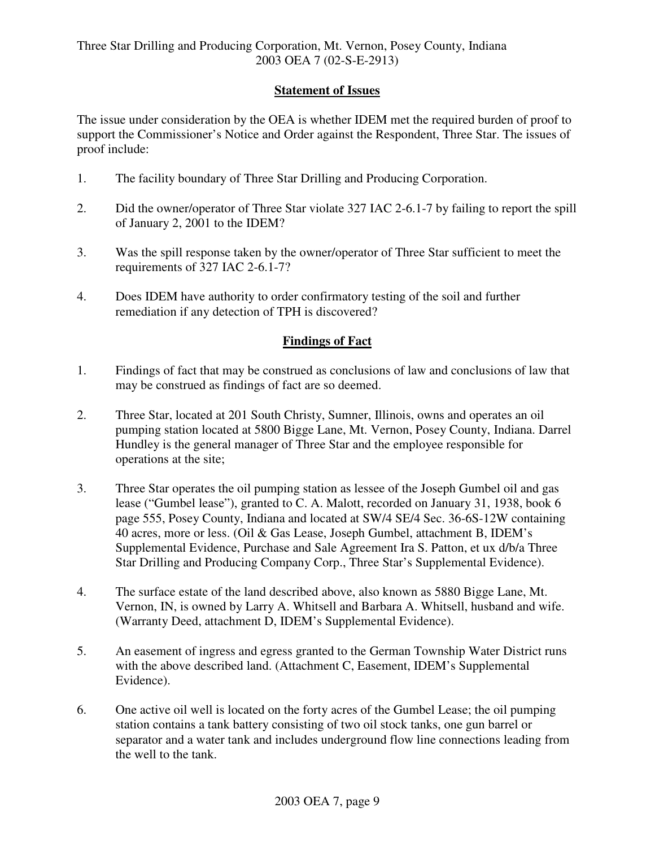### **Statement of Issues**

The issue under consideration by the OEA is whether IDEM met the required burden of proof to support the Commissioner's Notice and Order against the Respondent, Three Star. The issues of proof include:

- 1. The facility boundary of Three Star Drilling and Producing Corporation.
- 2. Did the owner/operator of Three Star violate 327 IAC 2-6.1-7 by failing to report the spill of January 2, 2001 to the IDEM?
- 3. Was the spill response taken by the owner/operator of Three Star sufficient to meet the requirements of 327 IAC 2-6.1-7?
- 4. Does IDEM have authority to order confirmatory testing of the soil and further remediation if any detection of TPH is discovered?

## **Findings of Fact**

- 1. Findings of fact that may be construed as conclusions of law and conclusions of law that may be construed as findings of fact are so deemed.
- 2. Three Star, located at 201 South Christy, Sumner, Illinois, owns and operates an oil pumping station located at 5800 Bigge Lane, Mt. Vernon, Posey County, Indiana. Darrel Hundley is the general manager of Three Star and the employee responsible for operations at the site;
- 3. Three Star operates the oil pumping station as lessee of the Joseph Gumbel oil and gas lease ("Gumbel lease"), granted to C. A. Malott, recorded on January 31, 1938, book 6 page 555, Posey County, Indiana and located at SW/4 SE/4 Sec. 36-6S-12W containing 40 acres, more or less. (Oil & Gas Lease, Joseph Gumbel, attachment B, IDEM's Supplemental Evidence, Purchase and Sale Agreement Ira S. Patton, et ux d/b/a Three Star Drilling and Producing Company Corp., Three Star's Supplemental Evidence).
- 4. The surface estate of the land described above, also known as 5880 Bigge Lane, Mt. Vernon, IN, is owned by Larry A. Whitsell and Barbara A. Whitsell, husband and wife. (Warranty Deed, attachment D, IDEM's Supplemental Evidence).
- 5. An easement of ingress and egress granted to the German Township Water District runs with the above described land. (Attachment C, Easement, IDEM's Supplemental Evidence).
- 6. One active oil well is located on the forty acres of the Gumbel Lease; the oil pumping station contains a tank battery consisting of two oil stock tanks, one gun barrel or separator and a water tank and includes underground flow line connections leading from the well to the tank.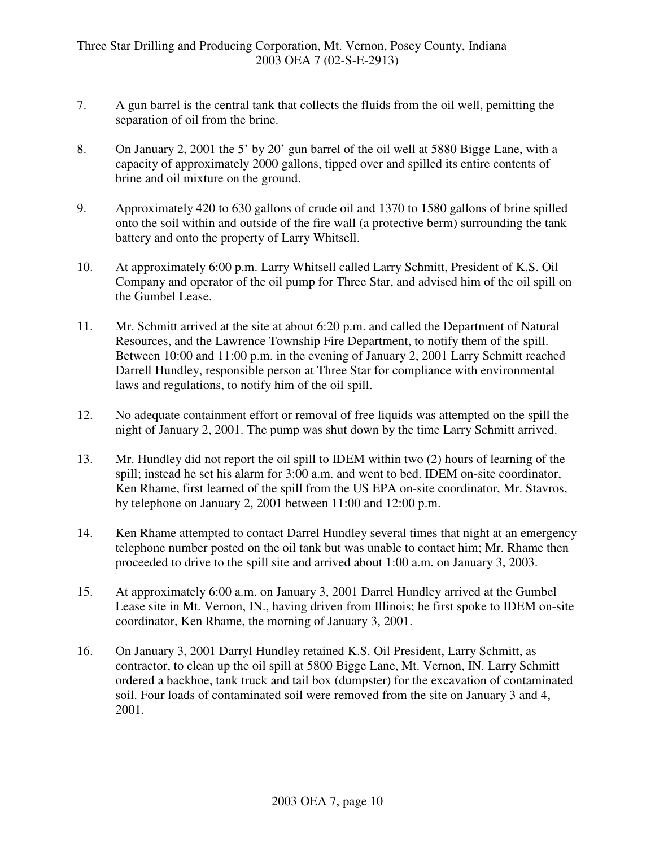- 7. A gun barrel is the central tank that collects the fluids from the oil well, pemitting the separation of oil from the brine.
- 8. On January 2, 2001 the 5' by 20' gun barrel of the oil well at 5880 Bigge Lane, with a capacity of approximately 2000 gallons, tipped over and spilled its entire contents of brine and oil mixture on the ground.
- 9. Approximately 420 to 630 gallons of crude oil and 1370 to 1580 gallons of brine spilled onto the soil within and outside of the fire wall (a protective berm) surrounding the tank battery and onto the property of Larry Whitsell.
- 10. At approximately 6:00 p.m. Larry Whitsell called Larry Schmitt, President of K.S. Oil Company and operator of the oil pump for Three Star, and advised him of the oil spill on the Gumbel Lease.
- 11. Mr. Schmitt arrived at the site at about 6:20 p.m. and called the Department of Natural Resources, and the Lawrence Township Fire Department, to notify them of the spill. Between 10:00 and 11:00 p.m. in the evening of January 2, 2001 Larry Schmitt reached Darrell Hundley, responsible person at Three Star for compliance with environmental laws and regulations, to notify him of the oil spill.
- 12. No adequate containment effort or removal of free liquids was attempted on the spill the night of January 2, 2001. The pump was shut down by the time Larry Schmitt arrived.
- 13. Mr. Hundley did not report the oil spill to IDEM within two (2) hours of learning of the spill; instead he set his alarm for 3:00 a.m. and went to bed. IDEM on-site coordinator, Ken Rhame, first learned of the spill from the US EPA on-site coordinator, Mr. Stavros, by telephone on January 2, 2001 between 11:00 and 12:00 p.m.
- 14. Ken Rhame attempted to contact Darrel Hundley several times that night at an emergency telephone number posted on the oil tank but was unable to contact him; Mr. Rhame then proceeded to drive to the spill site and arrived about 1:00 a.m. on January 3, 2003.
- 15. At approximately 6:00 a.m. on January 3, 2001 Darrel Hundley arrived at the Gumbel Lease site in Mt. Vernon, IN., having driven from Illinois; he first spoke to IDEM on-site coordinator, Ken Rhame, the morning of January 3, 2001.
- 16. On January 3, 2001 Darryl Hundley retained K.S. Oil President, Larry Schmitt, as contractor, to clean up the oil spill at 5800 Bigge Lane, Mt. Vernon, IN. Larry Schmitt ordered a backhoe, tank truck and tail box (dumpster) for the excavation of contaminated soil. Four loads of contaminated soil were removed from the site on January 3 and 4, 2001.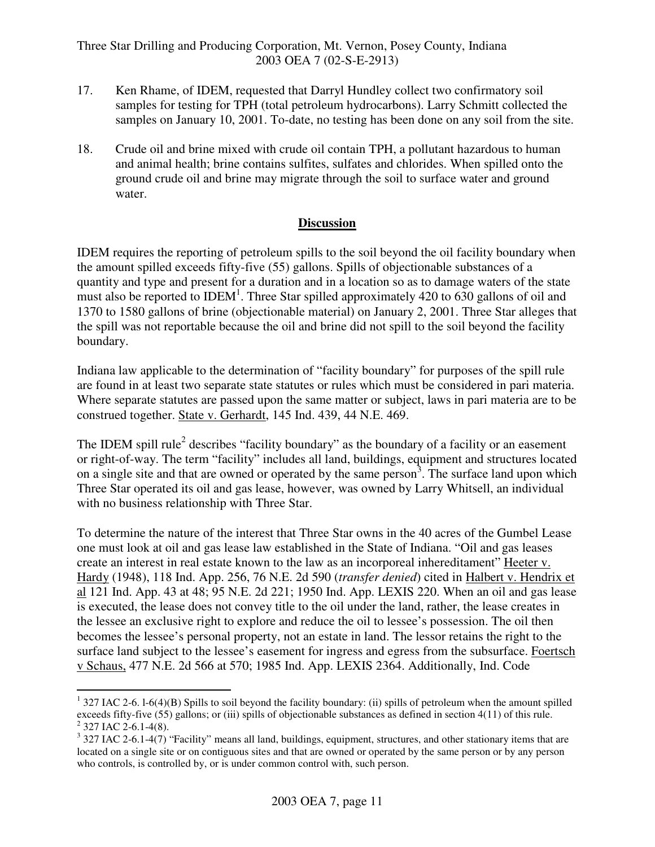Three Star Drilling and Producing Corporation, Mt. Vernon, Posey County, Indiana 2003 OEA 7 (02-S-E-2913)

- 17. Ken Rhame, of IDEM, requested that Darryl Hundley collect two confirmatory soil samples for testing for TPH (total petroleum hydrocarbons). Larry Schmitt collected the samples on January 10, 2001. To-date, no testing has been done on any soil from the site.
- 18. Crude oil and brine mixed with crude oil contain TPH, a pollutant hazardous to human and animal health; brine contains sulfites, sulfates and chlorides. When spilled onto the ground crude oil and brine may migrate through the soil to surface water and ground water.

### **Discussion**

IDEM requires the reporting of petroleum spills to the soil beyond the oil facility boundary when the amount spilled exceeds fifty-five (55) gallons. Spills of objectionable substances of a quantity and type and present for a duration and in a location so as to damage waters of the state must also be reported to IDEM<sup>1</sup>. Three Star spilled approximately 420 to 630 gallons of oil and 1370 to 1580 gallons of brine (objectionable material) on January 2, 2001. Three Star alleges that the spill was not reportable because the oil and brine did not spill to the soil beyond the facility boundary.

Indiana law applicable to the determination of "facility boundary" for purposes of the spill rule are found in at least two separate state statutes or rules which must be considered in pari materia. Where separate statutes are passed upon the same matter or subject, laws in pari materia are to be construed together. State v. Gerhardt, 145 Ind. 439, 44 N.E. 469.

The IDEM spill rule<sup>2</sup> describes "facility boundary" as the boundary of a facility or an easement or right-of-way. The term "facility" includes all land, buildings, equipment and structures located on a single site and that are owned or operated by the same person<sup>3</sup>. The surface land upon which Three Star operated its oil and gas lease, however, was owned by Larry Whitsell, an individual with no business relationship with Three Star.

To determine the nature of the interest that Three Star owns in the 40 acres of the Gumbel Lease one must look at oil and gas lease law established in the State of Indiana. "Oil and gas leases create an interest in real estate known to the law as an incorporeal inhereditament" Heeter v. Hardy (1948), 118 Ind. App. 256, 76 N.E. 2d 590 (*transfer denied*) cited in Halbert v. Hendrix et al 121 Ind. App. 43 at 48; 95 N.E. 2d 221; 1950 Ind. App. LEXIS 220. When an oil and gas lease is executed, the lease does not convey title to the oil under the land, rather, the lease creates in the lessee an exclusive right to explore and reduce the oil to lessee's possession. The oil then becomes the lessee's personal property, not an estate in land. The lessor retains the right to the surface land subject to the lessee's easement for ingress and egress from the subsurface. Foertsch v Schaus, 477 N.E. 2d 566 at 570; 1985 Ind. App. LEXIS 2364. Additionally, Ind. Code

 $1$  327 IAC 2-6. 1-6(4)(B) Spills to soil beyond the facility boundary: (ii) spills of petroleum when the amount spilled exceeds fifty-five (55) gallons; or (iii) spills of objectionable substances as defined in section 4(11) of this rule.  $2$  327 IAC 2-6.1-4(8).

 $3$  327 IAC 2-6.1-4(7) "Facility" means all land, buildings, equipment, structures, and other stationary items that are located on a single site or on contiguous sites and that are owned or operated by the same person or by any person who controls, is controlled by, or is under common control with, such person.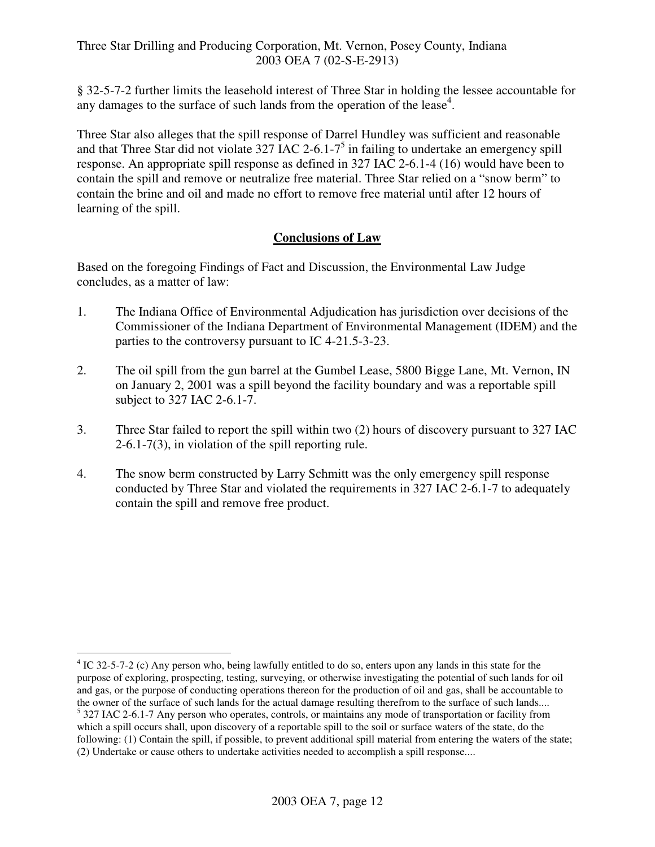§ 32-5-7-2 further limits the leasehold interest of Three Star in holding the lessee accountable for any damages to the surface of such lands from the operation of the lease<sup>4</sup>.

Three Star also alleges that the spill response of Darrel Hundley was sufficient and reasonable and that Three Star did not violate  $327$  IAC 2-6.1-7<sup>5</sup> in failing to undertake an emergency spill response. An appropriate spill response as defined in 327 IAC 2-6.1-4 (16) would have been to contain the spill and remove or neutralize free material. Three Star relied on a "snow berm" to contain the brine and oil and made no effort to remove free material until after 12 hours of learning of the spill.

## **Conclusions of Law**

Based on the foregoing Findings of Fact and Discussion, the Environmental Law Judge concludes, as a matter of law:

- 1. The Indiana Office of Environmental Adjudication has jurisdiction over decisions of the Commissioner of the Indiana Department of Environmental Management (IDEM) and the parties to the controversy pursuant to IC 4-21.5-3-23.
- 2. The oil spill from the gun barrel at the Gumbel Lease, 5800 Bigge Lane, Mt. Vernon, IN on January 2, 2001 was a spill beyond the facility boundary and was a reportable spill subject to 327 IAC 2-6.1-7.
- 3. Three Star failed to report the spill within two (2) hours of discovery pursuant to 327 IAC 2-6.1-7(3), in violation of the spill reporting rule.
- 4. The snow berm constructed by Larry Schmitt was the only emergency spill response conducted by Three Star and violated the requirements in 327 IAC 2-6.1-7 to adequately contain the spill and remove free product.

<sup>&</sup>lt;sup>4</sup> IC 32-5-7-2 (c) Any person who, being lawfully entitled to do so, enters upon any lands in this state for the purpose of exploring, prospecting, testing, surveying, or otherwise investigating the potential of such lands for oil and gas, or the purpose of conducting operations thereon for the production of oil and gas, shall be accountable to the owner of the surface of such lands for the actual damage resulting therefrom to the surface of such lands.... <sup>5</sup> 327 IAC 2-6.1-7 Any person who operates, controls, or maintains any mode of transportation or facility from which a spill occurs shall, upon discovery of a reportable spill to the soil or surface waters of the state, do the following: (1) Contain the spill, if possible, to prevent additional spill material from entering the waters of the state; (2) Undertake or cause others to undertake activities needed to accomplish a spill response....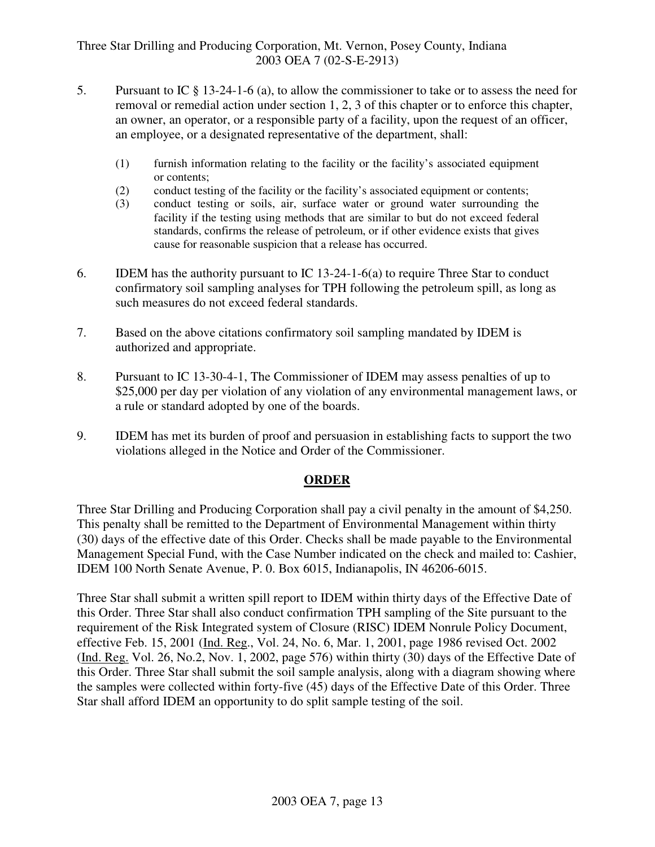- 5. Pursuant to IC § 13-24-1-6 (a), to allow the commissioner to take or to assess the need for removal or remedial action under section 1, 2, 3 of this chapter or to enforce this chapter, an owner, an operator, or a responsible party of a facility, upon the request of an officer, an employee, or a designated representative of the department, shall:
	- (1) furnish information relating to the facility or the facility's associated equipment or contents;
	- (2) conduct testing of the facility or the facility's associated equipment or contents;
	- (3) conduct testing or soils, air, surface water or ground water surrounding the facility if the testing using methods that are similar to but do not exceed federal standards, confirms the release of petroleum, or if other evidence exists that gives cause for reasonable suspicion that a release has occurred.
- 6. IDEM has the authority pursuant to IC 13-24-1-6(a) to require Three Star to conduct confirmatory soil sampling analyses for TPH following the petroleum spill, as long as such measures do not exceed federal standards.
- 7. Based on the above citations confirmatory soil sampling mandated by IDEM is authorized and appropriate.
- 8. Pursuant to IC 13-30-4-1, The Commissioner of IDEM may assess penalties of up to \$25,000 per day per violation of any violation of any environmental management laws, or a rule or standard adopted by one of the boards.
- 9. IDEM has met its burden of proof and persuasion in establishing facts to support the two violations alleged in the Notice and Order of the Commissioner.

## **ORDER**

Three Star Drilling and Producing Corporation shall pay a civil penalty in the amount of \$4,250. This penalty shall be remitted to the Department of Environmental Management within thirty (30) days of the effective date of this Order. Checks shall be made payable to the Environmental Management Special Fund, with the Case Number indicated on the check and mailed to: Cashier, IDEM 100 North Senate Avenue, P. 0. Box 6015, Indianapolis, IN 46206-6015.

Three Star shall submit a written spill report to IDEM within thirty days of the Effective Date of this Order. Three Star shall also conduct confirmation TPH sampling of the Site pursuant to the requirement of the Risk Integrated system of Closure (RISC) IDEM Nonrule Policy Document, effective Feb. 15, 2001 (Ind. Reg., Vol. 24, No. 6, Mar. 1, 2001, page 1986 revised Oct. 2002 (Ind. Reg. Vol. 26, No.2, Nov. 1, 2002, page 576) within thirty (30) days of the Effective Date of this Order. Three Star shall submit the soil sample analysis, along with a diagram showing where the samples were collected within forty-five (45) days of the Effective Date of this Order. Three Star shall afford IDEM an opportunity to do split sample testing of the soil.